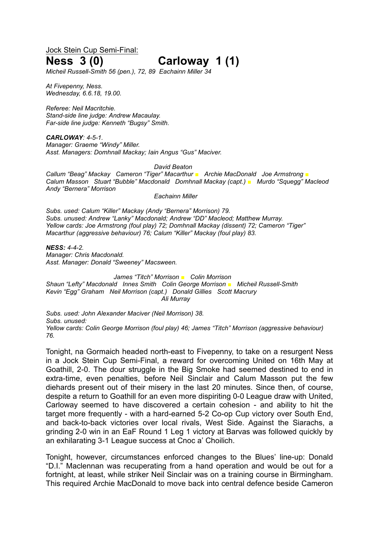Jock Stein Cup Semi-Final:

# **Ness 3 (0) Carloway 1 (1)**

*Micheil Russell-Smith 56 (pen.), 72, 89 Eachainn Miller 34*

*At Fivepenny, Ness. Wednesday, 6.6.18, 19.00.*

*Referee: Neil Macritchie. Stand-side line judge: Andrew Macaulay. Far-side line judge: Kenneth "Bugsy" Smith.*

*CARLOWAY: 4-5-1. Manager: Graeme "Windy" Miller. Asst. Managers: Domhnall Mackay; Iain Angus "Gus" Maciver.*

#### *David Beaton*

*Callum "Beag" Mackay Cameron "Tiger" Macarthur ■ Archie MacDonald Joe Armstrong ■ Calum Masson Stuart "Bubble" Macdonald Domhnall Mackay (capt.) ■ Murdo "Squegg" Macleod Andy "Bernera" Morrison*

*Eachainn Miller*

*Subs. used: Calum "Killer" Mackay (Andy "Bernera" Morrison) 79. Subs. unused: Andrew "Lanky" Macdonald; Andrew "DD" Macleod; Matthew Murray. Yellow cards: Joe Armstrong (foul play) 72; Domhnall Mackay (dissent) 72; Cameron "Tiger" Macarthur (aggressive behaviour) 76; Calum "Killer" Mackay (foul play) 83.*

*NESS: 4-4-2. Manager: Chris Macdonald. Asst. Manager: Donald "Sweeney" Macsween.*

*James "Titch" Morrison ■ Colin Morrison Shaun "Lefty" Macdonald Innes Smith Colin George Morrison ■ Micheil Russell-Smith Kevin "Egg" Graham Neil Morrison (capt.) Donald Gillies Scott Macrury Ali Murray*

*Subs. used: John Alexander Maciver (Neil Morrison) 38. Subs. unused: Yellow cards: Colin George Morrison (foul play) 46; James "Titch" Morrison (aggressive behaviour) 76.*

Tonight, na Gormaich headed north-east to Fivepenny, to take on a resurgent Ness in a Jock Stein Cup Semi-Final, a reward for overcoming United on 16th May at Goathill, 2-0. The dour struggle in the Big Smoke had seemed destined to end in extra-time, even penalties, before Neil Sinclair and Calum Masson put the few diehards present out of their misery in the last 20 minutes. Since then, of course, despite a return to Goathill for an even more dispiriting 0-0 League draw with United, Carloway seemed to have discovered a certain cohesion - and ability to hit the target more frequently - with a hard-earned 5-2 Co-op Cup victory over South End, and back-to-back victories over local rivals, West Side. Against the Siarachs, a grinding 2-0 win in an EaF Round 1 Leg 1 victory at Barvas was followed quickly by an exhilarating 3-1 League success at Cnoc a' Choilich.

Tonight, however, circumstances enforced changes to the Blues' line-up: Donald "D.I." Maclennan was recuperating from a hand operation and would be out for a fortnight, at least, while striker Neil Sinclair was on a training course in Birmingham. This required Archie MacDonald to move back into central defence beside Cameron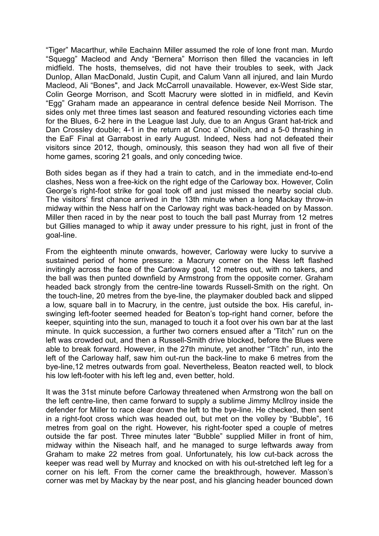"Tiger" Macarthur, while Eachainn Miller assumed the role of lone front man. Murdo "Squegg" Macleod and Andy "Bernera" Morrison then filled the vacancies in left midfield. The hosts, themselves, did not have their troubles to seek, with Jack Dunlop, Allan MacDonald, Justin Cupit, and Calum Vann all injured, and Iain Murdo Macleod, Ali "Bones", and Jack McCarroll unavailable. However, ex-West Side star, Colin George Morrison, and Scott Macrury were slotted in in midfield, and Kevin "Egg" Graham made an appearance in central defence beside Neil Morrison. The sides only met three times last season and featured resounding victories each time for the Blues, 6-2 here in the League last July, due to an Angus Grant hat-trick and Dan Crossley double; 4-1 in the return at Cnoc a' Choilich, and a 5-0 thrashing in the EaF Final at Garrabost in early August. Indeed, Ness had not defeated their visitors since 2012, though, ominously, this season they had won all five of their home games, scoring 21 goals, and only conceding twice.

Both sides began as if they had a train to catch, and in the immediate end-to-end clashes, Ness won a free-kick on the right edge of the Carloway box. However, Colin George's right-foot strike for goal took off and just missed the nearby social club. The visitors' first chance arrived in the 13th minute when a long Mackay throw-in midway within the Ness half on the Carloway right was back-headed on by Masson. Miller then raced in by the near post to touch the ball past Murray from 12 metres but Gillies managed to whip it away under pressure to his right, just in front of the goal-line.

From the eighteenth minute onwards, however, Carloway were lucky to survive a sustained period of home pressure: a Macrury corner on the Ness left flashed invitingly across the face of the Carloway goal, 12 metres out, with no takers, and the ball was then punted downfield by Armstrong from the opposite corner. Graham headed back strongly from the centre-line towards Russell-Smith on the right. On the touch-line, 20 metres from the bye-line, the playmaker doubled back and slipped a low, square ball in to Macrury, in the centre, just outside the box. His careful, inswinging left-footer seemed headed for Beaton's top-right hand corner, before the keeper, squinting into the sun, managed to touch it a foot over his own bar at the last minute. In quick succession, a further two corners ensued after a 'Titch" run on the left was crowded out, and then a Russell-Smith drive blocked, before the Blues were able to break forward. However, in the 27th minute, yet another "Titch" run, into the left of the Carloway half, saw him out-run the back-line to make 6 metres from the bye-line,12 metres outwards from goal. Nevertheless, Beaton reacted well, to block his low left-footer with his left leg and, even better, hold.

It was the 31st minute before Carloway threatened when Armstrong won the ball on the left centre-line, then came forward to supply a sublime Jimmy McIlroy inside the defender for Miller to race clear down the left to the bye-line. He checked, then sent in a right-foot cross which was headed out, but met on the volley by "Bubble", 16 metres from goal on the right. However, his right-footer sped a couple of metres outside the far post. Three minutes later "Bubble" supplied Miller in front of him, midway within the Niseach half, and he managed to surge leftwards away from Graham to make 22 metres from goal. Unfortunately, his low cut-back across the keeper was read well by Murray and knocked on with his out-stretched left leg for a corner on his left. From the corner came the breakthrough, however. Masson's corner was met by Mackay by the near post, and his glancing header bounced down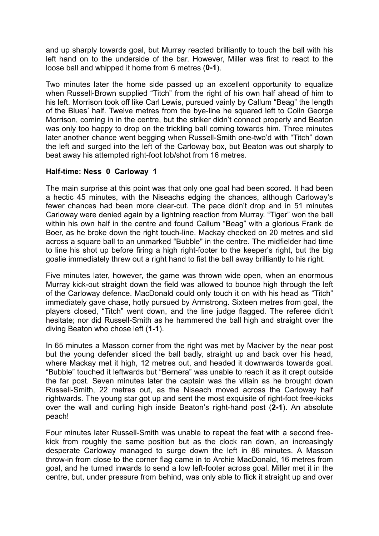and up sharply towards goal, but Murray reacted brilliantly to touch the ball with his left hand on to the underside of the bar. However, Miller was first to react to the loose ball and whipped it home from 6 metres (**0-1**).

Two minutes later the home side passed up an excellent opportunity to equalize when Russell-Brown supplied "Titch" from the right of his own half ahead of him to his left. Morrison took off like Carl Lewis, pursued vainly by Callum "Beag" the length of the Blues' half. Twelve metres from the bye-line he squared left to Colin George Morrison, coming in in the centre, but the striker didn't connect properly and Beaton was only too happy to drop on the trickling ball coming towards him. Three minutes later another chance went begging when Russell-Smith one-two'd with "Titch" down the left and surged into the left of the Carloway box, but Beaton was out sharply to beat away his attempted right-foot lob/shot from 16 metres.

## **Half-time: Ness 0 Carloway 1**

The main surprise at this point was that only one goal had been scored. It had been a hectic 45 minutes, with the Niseachs edging the chances, although Carloway's fewer chances had been more clear-cut. The pace didn't drop and in 51 minutes Carloway were denied again by a lightning reaction from Murray. "Tiger" won the ball within his own half in the centre and found Callum "Beag" with a glorious Frank de Boer, as he broke down the right touch-line. Mackay checked on 20 metres and slid across a square ball to an unmarked "Bubble" in the centre. The midfielder had time to line his shot up before firing a high right-footer to the keeper's right, but the big goalie immediately threw out a right hand to fist the ball away brilliantly to his right.

Five minutes later, however, the game was thrown wide open, when an enormous Murray kick-out straight down the field was allowed to bounce high through the left of the Carloway defence. MacDonald could only touch it on with his head as "Titch" immediately gave chase, hotly pursued by Armstrong. Sixteen metres from goal, the players closed, "Titch" went down, and the line judge flagged. The referee didn't hesitate; nor did Russell-Smith as he hammered the ball high and straight over the diving Beaton who chose left (**1-1**).

In 65 minutes a Masson corner from the right was met by Maciver by the near post but the young defender sliced the ball badly, straight up and back over his head, where Mackay met it high, 12 metres out, and headed it downwards towards goal. "Bubble" touched it leftwards but "Bernera" was unable to reach it as it crept outside the far post. Seven minutes later the captain was the villain as he brought down Russell-Smith, 22 metres out, as the Niseach moved across the Carloway half rightwards. The young star got up and sent the most exquisite of right-foot free-kicks over the wall and curling high inside Beaton's right-hand post (**2-1**). An absolute peach!

Four minutes later Russell-Smith was unable to repeat the feat with a second freekick from roughly the same position but as the clock ran down, an increasingly desperate Carloway managed to surge down the left in 86 minutes. A Masson throw-in from close to the corner flag came in to Archie MacDonald, 16 metres from goal, and he turned inwards to send a low left-footer across goal. Miller met it in the centre, but, under pressure from behind, was only able to flick it straight up and over